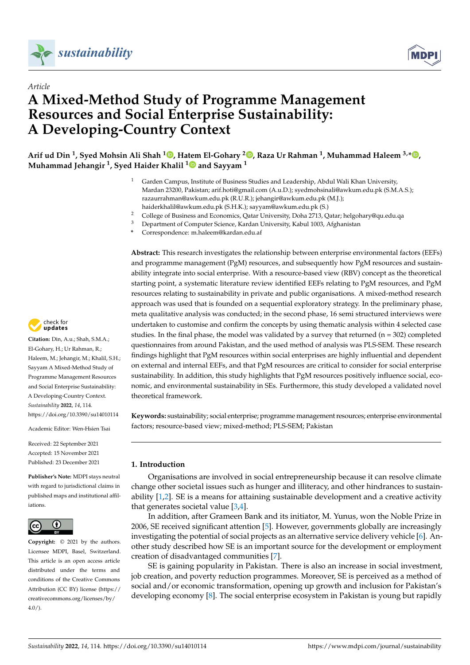



# *Article* **A Mixed-Method Study of Programme Management Resources and Social Enterprise Sustainability: A Developing-Country Context**

 $\bullet$  Arif ud Din <sup>1</sup>[,](https://orcid.org/0000-0002-0782-1077) Syed Mohsin Ali Shah  $^{1}$  , Hatem El-Gohary  $^{2}$  , Raza Ur Rahman <sup>1</sup>, Muhammad Haleem  $^{3,*}$  , **Muhammad Jehangir <sup>1</sup> , Syed Haider Khalil [1](https://orcid.org/0000-0001-8893-2520) and Sayyam <sup>1</sup>**

- <sup>1</sup> Garden Campus, Institute of Business Studies and Leadership, Abdul Wali Khan University, Mardan 23200, Pakistan; arif.hoti@gmail.com (A.u.D.); syedmohsinali@awkum.edu.pk (S.M.A.S.); razaurrahman@awkum.edu.pk (R.U.R.); jehangir@awkum.edu.pk (M.J.); haiderkhalil@awkum.edu.pk (S.H.K.); sayyam@awkum.edu.pk (S.)
- <sup>2</sup> College of Business and Economics, Qatar University, Doha 2713, Qatar; helgohary@qu.edu.qa
- <sup>3</sup> Department of Computer Science, Kardan University, Kabul 1003, Afghanistan
- **\*** Correspondence: m.haleem@kardan.edu.af

**Abstract:** This research investigates the relationship between enterprise environmental factors (EEFs) and programme management (PgM) resources, and subsequently how PgM resources and sustainability integrate into social enterprise. With a resource-based view (RBV) concept as the theoretical starting point, a systematic literature review identified EEFs relating to PgM resources, and PgM resources relating to sustainability in private and public organisations. A mixed-method research approach was used that is founded on a sequential exploratory strategy. In the preliminary phase, meta qualitative analysis was conducted; in the second phase, 16 semi structured interviews were undertaken to customise and confirm the concepts by using thematic analysis within 4 selected case studies. In the final phase, the model was validated by a survey that returned ( $n = 302$ ) completed questionnaires from around Pakistan, and the used method of analysis was PLS-SEM. These research findings highlight that PgM resources within social enterprises are highly influential and dependent on external and internal EEFs, and that PgM resources are critical to consider for social enterprise sustainability. In addition, this study highlights that PgM resources positively influence social, economic, and environmental sustainability in SEs. Furthermore, this study developed a validated novel theoretical framework.

**Keywords:** sustainability; social enterprise; programme management resources; enterprise environmental factors; resource-based view; mixed-method; PLS-SEM; Pakistan

## **1. Introduction**

Organisations are involved in social entrepreneurship because it can resolve climate change other societal issues such as hunger and illiteracy, and other hindrances to sustainability  $[1,2]$  $[1,2]$ . SE is a means for attaining sustainable development and a creative activity that generates societal value  $[3,4]$  $[3,4]$ .

In addition, after Grameen Bank and its initiator, M. Yunus, won the Noble Prize in 2006, SE received significant attention [\[5\]](#page-14-4). However, governments globally are increasingly investigating the potential of social projects as an alternative service delivery vehicle [\[6\]](#page-14-5). Another study described how SE is an important source for the development or employment creation of disadvantaged communities [\[7\]](#page-14-6).

SE is gaining popularity in Pakistan. There is also an increase in social investment, job creation, and poverty reduction programmes. Moreover, SE is perceived as a method of social and/or economic transformation, opening up growth and inclusion for Pakistan's developing economy [\[8\]](#page-14-7). The social enterprise ecosystem in Pakistan is young but rapidly



**Citation:** Din, A.u.; Shah, S.M.A.; El-Gohary, H.; Ur Rahman, R.; Haleem, M.; Jehangir, M.; Khalil, S.H.; Sayyam A Mixed-Method Study of Programme Management Resources and Social Enterprise Sustainability: A Developing-Country Context. *Sustainability* **2022**, *14*, 114. <https://doi.org/10.3390/su14010114>

Academic Editor: Wen-Hsien Tsai

Received: 22 September 2021 Accepted: 15 November 2021 Published: 23 December 2021

**Publisher's Note:** MDPI stays neutral with regard to jurisdictional claims in published maps and institutional affiliations.



**Copyright:** © 2021 by the authors. Licensee MDPI, Basel, Switzerland. This article is an open access article distributed under the terms and conditions of the Creative Commons Attribution (CC BY) license [\(https://](https://creativecommons.org/licenses/by/4.0/) [creativecommons.org/licenses/by/](https://creativecommons.org/licenses/by/4.0/)  $4.0/$ ).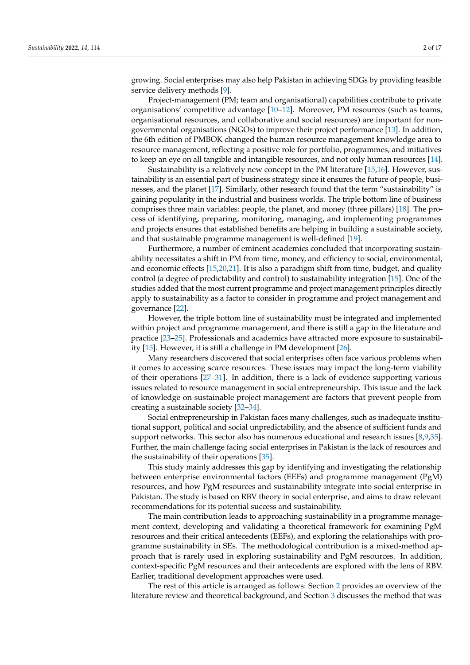growing. Social enterprises may also help Pakistan in achieving SDGs by providing feasible service delivery methods [\[9\]](#page-14-8).

Project-management (PM; team and organisational) capabilities contribute to private organisations' competitive advantage [\[10](#page-14-9)[–12\]](#page-14-10). Moreover, PM resources (such as teams, organisational resources, and collaborative and social resources) are important for nongovernmental organisations (NGOs) to improve their project performance [\[13\]](#page-14-11). In addition, the 6th edition of PMBOK changed the human resource management knowledge area to resource management, reflecting a positive role for portfolio, programmes, and initiatives to keep an eye on all tangible and intangible resources, and not only human resources [\[14\]](#page-14-12).

Sustainability is a relatively new concept in the PM literature [\[15](#page-14-13)[,16\]](#page-14-14). However, sustainability is an essential part of business strategy since it ensures the future of people, businesses, and the planet [\[17\]](#page-14-15). Similarly, other research found that the term "sustainability" is gaining popularity in the industrial and business worlds. The triple bottom line of business comprises three main variables: people, the planet, and money (three pillars) [\[18\]](#page-15-0). The process of identifying, preparing, monitoring, managing, and implementing programmes and projects ensures that established benefits are helping in building a sustainable society, and that sustainable programme management is well-defined [\[19\]](#page-15-1).

Furthermore, a number of eminent academics concluded that incorporating sustainability necessitates a shift in PM from time, money, and efficiency to social, environmental, and economic effects [\[15,](#page-14-13)[20,](#page-15-2)[21\]](#page-15-3). It is also a paradigm shift from time, budget, and quality control (a degree of predictability and control) to sustainability integration [\[15\]](#page-14-13). One of the studies added that the most current programme and project management principles directly apply to sustainability as a factor to consider in programme and project management and governance [\[22\]](#page-15-4).

However, the triple bottom line of sustainability must be integrated and implemented within project and programme management, and there is still a gap in the literature and practice [\[23](#page-15-5)[–25\]](#page-15-6). Professionals and academics have attracted more exposure to sustainability [\[15\]](#page-14-13). However, it is still a challenge in PM development [\[26\]](#page-15-7).

Many researchers discovered that social enterprises often face various problems when it comes to accessing scarce resources. These issues may impact the long-term viability of their operations [\[27](#page-15-8)[–31\]](#page-15-9). In addition, there is a lack of evidence supporting various issues related to resource management in social entrepreneurship. This issue and the lack of knowledge on sustainable project management are factors that prevent people from creating a sustainable society [\[32](#page-15-10)[–34\]](#page-15-11).

Social entrepreneurship in Pakistan faces many challenges, such as inadequate institutional support, political and social unpredictability, and the absence of sufficient funds and support networks. This sector also has numerous educational and research issues [\[8](#page-14-7)[,9,](#page-14-8)[35\]](#page-15-12). Further, the main challenge facing social enterprises in Pakistan is the lack of resources and the sustainability of their operations [\[35\]](#page-15-12).

This study mainly addresses this gap by identifying and investigating the relationship between enterprise environmental factors (EEFs) and programme management (PgM) resources, and how PgM resources and sustainability integrate into social enterprise in Pakistan. The study is based on RBV theory in social enterprise, and aims to draw relevant recommendations for its potential success and sustainability.

The main contribution leads to approaching sustainability in a programme management context, developing and validating a theoretical framework for examining PgM resources and their critical antecedents (EEFs), and exploring the relationships with programme sustainability in SEs. The methodological contribution is a mixed-method approach that is rarely used in exploring sustainability and PgM resources. In addition, context-specific PgM resources and their antecedents are explored with the lens of RBV. Earlier, traditional development approaches were used.

The rest of this article is arranged as follows: Section [2](#page-2-0) provides an overview of the literature review and theoretical background, and Section [3](#page-4-0) discusses the method that was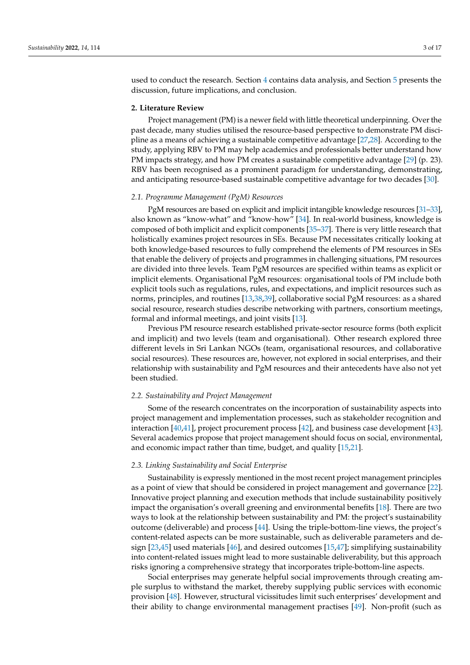used to conduct the research. Section [4](#page-6-0) contains data analysis, and Section [5](#page-12-0) presents the discussion, future implications, and conclusion.

### <span id="page-2-0"></span>**2. Literature Review**

Project management (PM) is a newer field with little theoretical underpinning. Over the past decade, many studies utilised the resource-based perspective to demonstrate PM discipline as a means of achieving a sustainable competitive advantage [\[27](#page-15-8)[,28\]](#page-15-13). According to the study, applying RBV to PM may help academics and professionals better understand how PM impacts strategy, and how PM creates a sustainable competitive advantage [\[29\]](#page-15-14) (p. 23). RBV has been recognised as a prominent paradigm for understanding, demonstrating, and anticipating resource-based sustainable competitive advantage for two decades [\[30\]](#page-15-15).

## *2.1. Programme Management (PgM) Resources*

PgM resources are based on explicit and implicit intangible knowledge resources [\[31](#page-15-9)[–33\]](#page-15-16), also known as "know-what" and "know-how" [\[34\]](#page-15-11). In real-world business, knowledge is composed of both implicit and explicit components [\[35–](#page-15-12)[37\]](#page-15-17). There is very little research that holistically examines project resources in SEs. Because PM necessitates critically looking at both knowledge-based resources to fully comprehend the elements of PM resources in SEs that enable the delivery of projects and programmes in challenging situations, PM resources are divided into three levels. Team PgM resources are specified within teams as explicit or implicit elements. Organisational PgM resources: organisational tools of PM include both explicit tools such as regulations, rules, and expectations, and implicit resources such as norms, principles, and routines [\[13](#page-14-11)[,38,](#page-15-18)[39\]](#page-15-19), collaborative social PgM resources: as a shared social resource, research studies describe networking with partners, consortium meetings, formal and informal meetings, and joint visits [\[13\]](#page-14-11).

Previous PM resource research established private-sector resource forms (both explicit and implicit) and two levels (team and organisational). Other research explored three different levels in Sri Lankan NGOs (team, organisational resources, and collaborative social resources). These resources are, however, not explored in social enterprises, and their relationship with sustainability and PgM resources and their antecedents have also not yet been studied.

## *2.2. Sustainability and Project Management*

Some of the research concentrates on the incorporation of sustainability aspects into project management and implementation processes, such as stakeholder recognition and interaction [\[40](#page-15-20)[,41\]](#page-15-21), project procurement process [\[42\]](#page-15-22), and business case development [\[43\]](#page-15-23). Several academics propose that project management should focus on social, environmental, and economic impact rather than time, budget, and quality [\[15,](#page-14-13)[21\]](#page-15-3).

## *2.3. Linking Sustainability and Social Enterprise*

Sustainability is expressly mentioned in the most recent project management principles as a point of view that should be considered in project management and governance [\[22\]](#page-15-4). Innovative project planning and execution methods that include sustainability positively impact the organisation's overall greening and environmental benefits [\[18\]](#page-15-0). There are two ways to look at the relationship between sustainability and PM: the project's sustainability outcome (deliverable) and process [\[44\]](#page-15-24). Using the triple-bottom-line views, the project's content-related aspects can be more sustainable, such as deliverable parameters and design [\[23,](#page-15-5)[45\]](#page-15-25) used materials [\[46\]](#page-15-26), and desired outcomes [\[15](#page-14-13)[,47\]](#page-15-27); simplifying sustainability into content-related issues might lead to more sustainable deliverability, but this approach risks ignoring a comprehensive strategy that incorporates triple-bottom-line aspects.

Social enterprises may generate helpful social improvements through creating ample surplus to withstand the market, thereby supplying public services with economic provision [\[48\]](#page-16-0). However, structural vicissitudes limit such enterprises' development and their ability to change environmental management practises [\[49\]](#page-16-1). Non-profit (such as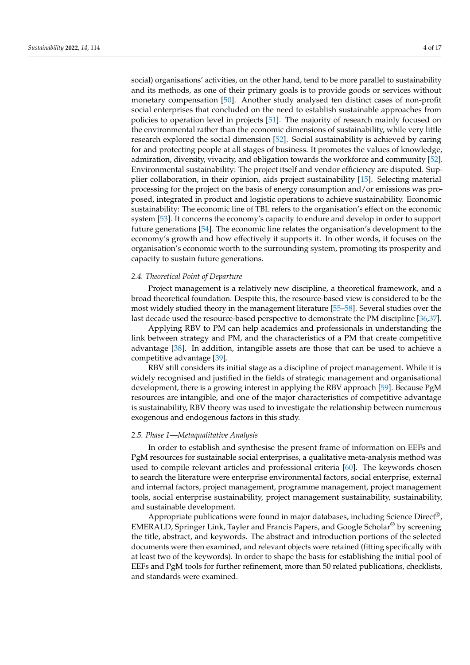social) organisations' activities, on the other hand, tend to be more parallel to sustainability and its methods, as one of their primary goals is to provide goods or services without monetary compensation [\[50\]](#page-16-2). Another study analysed ten distinct cases of non-profit social enterprises that concluded on the need to establish sustainable approaches from policies to operation level in projects [\[51\]](#page-16-3). The majority of research mainly focused on the environmental rather than the economic dimensions of sustainability, while very little research explored the social dimension [\[52\]](#page-16-4). Social sustainability is achieved by caring for and protecting people at all stages of business. It promotes the values of knowledge, admiration, diversity, vivacity, and obligation towards the workforce and community [\[52\]](#page-16-4). Environmental sustainability: The project itself and vendor efficiency are disputed. Supplier collaboration, in their opinion, aids project sustainability [\[15\]](#page-14-13). Selecting material processing for the project on the basis of energy consumption and/or emissions was proposed, integrated in product and logistic operations to achieve sustainability. Economic sustainability: The economic line of TBL refers to the organisation's effect on the economic system [\[53\]](#page-16-5). It concerns the economy's capacity to endure and develop in order to support future generations [\[54\]](#page-16-6). The economic line relates the organisation's development to the economy's growth and how effectively it supports it. In other words, it focuses on the organisation's economic worth to the surrounding system, promoting its prosperity and capacity to sustain future generations.

## *2.4. Theoretical Point of Departure*

Project management is a relatively new discipline, a theoretical framework, and a broad theoretical foundation. Despite this, the resource-based view is considered to be the most widely studied theory in the management literature [\[55–](#page-16-7)[58\]](#page-16-8). Several studies over the last decade used the resource-based perspective to demonstrate the PM discipline [\[36](#page-15-28)[,37\]](#page-15-17).

Applying RBV to PM can help academics and professionals in understanding the link between strategy and PM, and the characteristics of a PM that create competitive advantage [\[38\]](#page-15-18). In addition, intangible assets are those that can be used to achieve a competitive advantage [\[39\]](#page-15-19).

RBV still considers its initial stage as a discipline of project management. While it is widely recognised and justified in the fields of strategic management and organisational development, there is a growing interest in applying the RBV approach [\[59\]](#page-16-9). Because PgM resources are intangible, and one of the major characteristics of competitive advantage is sustainability, RBV theory was used to investigate the relationship between numerous exogenous and endogenous factors in this study.

## *2.5. Phase 1—Metaqualitative Analysis*

In order to establish and synthesise the present frame of information on EEFs and PgM resources for sustainable social enterprises, a qualitative meta-analysis method was used to compile relevant articles and professional criteria [\[60\]](#page-16-10). The keywords chosen to search the literature were enterprise environmental factors, social enterprise, external and internal factors, project management, programme management, project management tools, social enterprise sustainability, project management sustainability, sustainability, and sustainable development.

Appropriate publications were found in major databases, including Science Direct<sup>®</sup>, EMERALD, Springer Link, Tayler and Francis Papers, and Google Scholar® by screening the title, abstract, and keywords. The abstract and introduction portions of the selected documents were then examined, and relevant objects were retained (fitting specifically with at least two of the keywords). In order to shape the basis for establishing the initial pool of EEFs and PgM tools for further refinement, more than 50 related publications, checklists, and standards were examined.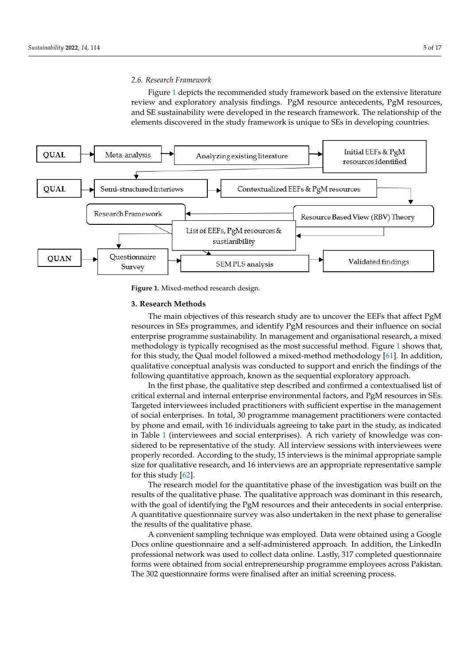## *2.6. Research Framework 2.6. Research Framework*

checklists, and standards were examined. The standards were examined were examined.

<span id="page-4-1"></span>Figure [1](#page-4-1) depicts the recommended study framework based on the extensive literature Figure 1 depicts the recommended study framework based on the extensive literature review and exploratory analysis findings. PgM resource antecedents, PgM resources, review and exploratory analysis findings. PgM resource antecedents, PgM resources, and Figure and SE sustainability were developed in the research framework. The relationship of the elements discovered in the study framework is unique to SEs in developing countries.



**Figure 1.** Mixed‐method research design. **Figure 1.** Mixed-method research design.

#### <span id="page-4-0"></span>**3. Research Methods 3. Research Methods**

resources in SEs programmes, and identify PgM resources and their influence on social enterprise programme sustainability. In management and organisational research, a mixed methodology is typically recognised as the most successful method. Figure [1](#page-4-1) shows that, for this study, the Qual model followed a mixed-method methodology [\[61\]](#page-16-11). In addition, qualitative conceptual analysis was conducted to support and enrich the findings of the following quantitative approach, known as the sequential exploratory approach. The main objectives of this research study are to uncover the EEFs that affect PgM

In the first phase, the qualitative step described and confirmed a contextualised list of critical external and internal enterprise environmental factors, and PgM resources in SEs. Targeted interviewees included practitioners with sufficient expertise in the management of social enterprises. In total, 30 programme management practitioners were contacted by phone and email, with 16 individuals agreeing to take part in the study, as indicated in Table [1](#page-5-0) (interviewees and social enterprises). A rich variety of knowledge was considered to be representative of the study. All interview sessions with interviewees were properly recorded. According to the study, 15 interviews is the minimal appropriate sample size for qualitative research, and 16 interviews are an appropriate representative sample for this study  $[62]$ .

The research model for the quantitative phase of the investigation was built on the results of the qualitative phase. The qualitative approach was dominant in this research, with the goal of identifying the PgM resources and their antecedents in social enterprise. A quantitative questionnaire survey was also undertaken in the next phase to generalise the results of the qualitative phase.

A convenient sampling technique was employed. Data were obtained using a Google Docs online questionnaire and a self-administered approach. In addition, the LinkedIn professional network was used to collect data online. Lastly, 317 completed questionnaire forms were obtained from social entrepreneurship programme employees across Pakistan. The 302 questionnaire forms were finalised after an initial screening process.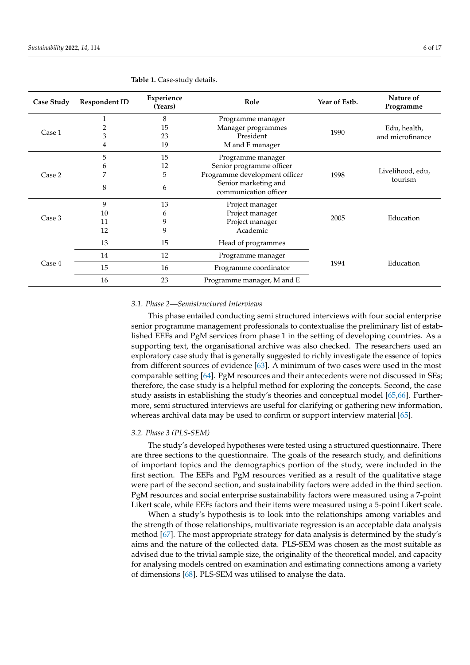| Case Study | <b>Respondent ID</b> | Experience<br>(Years) | Role                          | Year of Estb. | Nature of<br>Programme |  |
|------------|----------------------|-----------------------|-------------------------------|---------------|------------------------|--|
|            |                      | 8                     | Programme manager             |               | Edu, health,           |  |
| Case 1     | 2                    | 15                    | Manager programmes            |               |                        |  |
|            | 3                    | 23                    | President                     | 1990          | and microfinance       |  |
|            | 4                    | 19                    | M and E manager               |               |                        |  |
|            | 5                    | 15                    | Programme manager             |               | Livelihood, edu,       |  |
| Case 2     | 6                    | 12                    | Senior programme officer      |               |                        |  |
|            | 7                    | 5                     | Programme development officer | 1998          |                        |  |
|            | 8                    |                       | Senior marketing and          |               | tourism                |  |
|            | 6                    |                       | communication officer         |               |                        |  |
|            | 9                    | 13                    | Project manager               |               | Education              |  |
|            | 10                   | 6                     | Project manager               |               |                        |  |
| Case 3     | 11                   | 9                     | Project manager               | 2005          |                        |  |
|            | 12                   | 9                     | Academic                      |               |                        |  |
|            | 13                   | 15                    | Head of programmes            |               |                        |  |
| Case 4     | 14                   | 12                    | Programme manager             |               |                        |  |
|            | 15                   | 16                    | Programme coordinator         | 1994          | Education              |  |
|            | 16                   | 23                    | Programme manager, M and E    |               |                        |  |

<span id="page-5-0"></span>**Table 1.** Case-study details.

## *3.1. Phase 2—Semistructured Interviews*

This phase entailed conducting semi structured interviews with four social enterprise senior programme management professionals to contextualise the preliminary list of established EEFs and PgM services from phase 1 in the setting of developing countries. As a supporting text, the organisational archive was also checked. The researchers used an exploratory case study that is generally suggested to richly investigate the essence of topics from different sources of evidence [\[63\]](#page-16-13). A minimum of two cases were used in the most comparable setting [\[64\]](#page-16-14). PgM resources and their antecedents were not discussed in SEs; therefore, the case study is a helpful method for exploring the concepts. Second, the case study assists in establishing the study's theories and conceptual model [\[65,](#page-16-15)[66\]](#page-16-16). Furthermore, semi structured interviews are useful for clarifying or gathering new information, whereas archival data may be used to confirm or support interview material [\[65\]](#page-16-15).

## *3.2. Phase 3 (PLS-SEM)*

The study's developed hypotheses were tested using a structured questionnaire. There are three sections to the questionnaire. The goals of the research study, and definitions of important topics and the demographics portion of the study, were included in the first section. The EEFs and PgM resources verified as a result of the qualitative stage were part of the second section, and sustainability factors were added in the third section. PgM resources and social enterprise sustainability factors were measured using a 7-point Likert scale, while EEFs factors and their items were measured using a 5-point Likert scale.

When a study's hypothesis is to look into the relationships among variables and the strength of those relationships, multivariate regression is an acceptable data analysis method [\[67\]](#page-16-17). The most appropriate strategy for data analysis is determined by the study's aims and the nature of the collected data. PLS-SEM was chosen as the most suitable as advised due to the trivial sample size, the originality of the theoretical model, and capacity for analysing models centred on examination and estimating connections among a variety of dimensions [\[68\]](#page-16-18). PLS-SEM was utilised to analyse the data.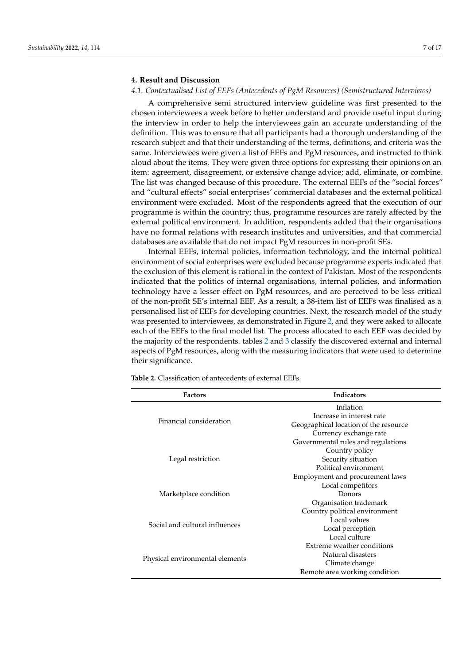## <span id="page-6-0"></span>**4. Result and Discussion**

## *4.1. Contextualised List of EEFs (Antecedents of PgM Resources) (Semistructured Interviews)*

A comprehensive semi structured interview guideline was first presented to the chosen interviewees a week before to better understand and provide useful input during the interview in order to help the interviewees gain an accurate understanding of the definition. This was to ensure that all participants had a thorough understanding of the research subject and that their understanding of the terms, definitions, and criteria was the same. Interviewees were given a list of EEFs and PgM resources, and instructed to think aloud about the items. They were given three options for expressing their opinions on an item: agreement, disagreement, or extensive change advice; add, eliminate, or combine. The list was changed because of this procedure. The external EEFs of the "social forces" and "cultural effects" social enterprises' commercial databases and the external political environment were excluded. Most of the respondents agreed that the execution of our programme is within the country; thus, programme resources are rarely affected by the external political environment. In addition, respondents added that their organisations have no formal relations with research institutes and universities, and that commercial databases are available that do not impact PgM resources in non-profit SEs.

Internal EEFs, internal policies, information technology, and the internal political environment of social enterprises were excluded because programme experts indicated that the exclusion of this element is rational in the context of Pakistan. Most of the respondents indicated that the politics of internal organisations, internal policies, and information technology have a lesser effect on PgM resources, and are perceived to be less critical of the non-profit SE's internal EEF. As a result, a 38-item list of EEFs was finalised as a personalised list of EEFs for developing countries. Next, the research model of the study was presented to interviewees, as demonstrated in Figure [2,](#page-7-0) and they were asked to allocate each of the EEFs to the final model list. The process allocated to each EEF was decided by the majority of the respondents. tables [2](#page-6-1) and [3](#page-7-1) classify the discovered external and internal aspects of PgM resources, along with the measuring indicators that were used to determine their significance.

| <b>Factors</b>                  | Indicators                            |  |  |  |  |  |  |
|---------------------------------|---------------------------------------|--|--|--|--|--|--|
|                                 | Inflation                             |  |  |  |  |  |  |
|                                 | Increase in interest rate             |  |  |  |  |  |  |
| Financial consideration         | Geographical location of the resource |  |  |  |  |  |  |
|                                 | Currency exchange rate                |  |  |  |  |  |  |
|                                 | Governmental rules and regulations    |  |  |  |  |  |  |
|                                 | Country policy                        |  |  |  |  |  |  |
| Legal restriction               | Security situation                    |  |  |  |  |  |  |
|                                 | Political environment                 |  |  |  |  |  |  |
|                                 | Employment and procurement laws       |  |  |  |  |  |  |
|                                 | Local competitors                     |  |  |  |  |  |  |
| Marketplace condition           | Donors                                |  |  |  |  |  |  |
|                                 | Organisation trademark                |  |  |  |  |  |  |
|                                 | Country political environment         |  |  |  |  |  |  |
| Social and cultural influences  | Local values                          |  |  |  |  |  |  |
|                                 | Local perception                      |  |  |  |  |  |  |
|                                 | Local culture                         |  |  |  |  |  |  |
|                                 | Extreme weather conditions            |  |  |  |  |  |  |
| Physical environmental elements | Natural disasters                     |  |  |  |  |  |  |
|                                 | Climate change                        |  |  |  |  |  |  |
|                                 | Remote area working condition         |  |  |  |  |  |  |
|                                 |                                       |  |  |  |  |  |  |

<span id="page-6-1"></span>**Table 2.** Classification of antecedents of external EEFs.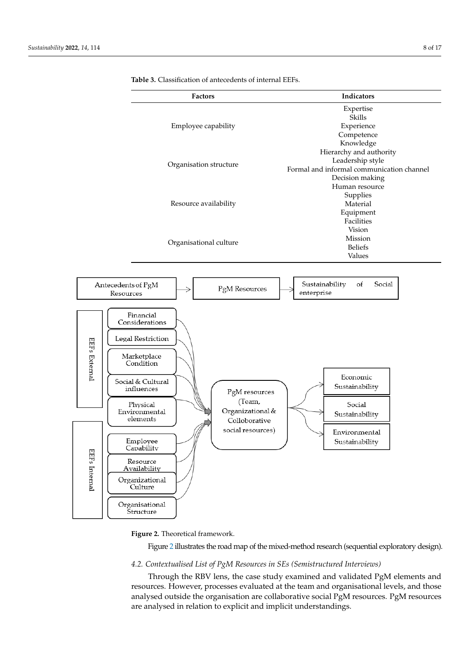

<span id="page-7-1"></span><span id="page-7-0"></span>**Table 3.** Classification of antecedents of internal EEFs.

**Figure 2.** Theoretical framework. **Figure 2.** Theoretical framework.

Figure [2](#page-7-0) illustrates the road map of the mixed-method research (sequential exploratory design).

## 4.2. Contextualised List of PgM Resources in SEs (Semistructured Interviews)

resources. However, processes evaluated at the team and organisational levels, and those **Factors Indicators** analysed outside the organisation are collaborative social PgM resources. PgM resources are analysed in relation to explicit and implicit understandings. Through the RBV lens, the case study examined and validated PgM elements and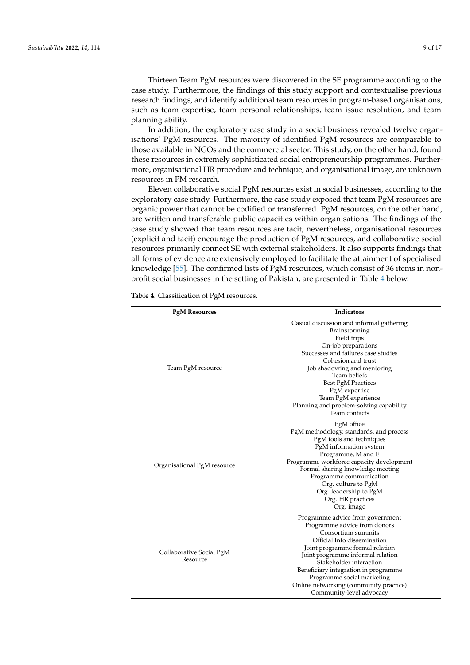Thirteen Team PgM resources were discovered in the SE programme according to the case study. Furthermore, the findings of this study support and contextualise previous research findings, and identify additional team resources in program-based organisations, such as team expertise, team personal relationships, team issue resolution, and team planning ability.

In addition, the exploratory case study in a social business revealed twelve organisations' PgM resources. The majority of identified PgM resources are comparable to those available in NGOs and the commercial sector. This study, on the other hand, found these resources in extremely sophisticated social entrepreneurship programmes. Furthermore, organisational HR procedure and technique, and organisational image, are unknown resources in PM research.

Eleven collaborative social PgM resources exist in social businesses, according to the exploratory case study. Furthermore, the case study exposed that team PgM resources are organic power that cannot be codified or transferred. PgM resources, on the other hand, are written and transferable public capacities within organisations. The findings of the case study showed that team resources are tacit; nevertheless, organisational resources (explicit and tacit) encourage the production of PgM resources, and collaborative social resources primarily connect SE with external stakeholders. It also supports findings that all forms of evidence are extensively employed to facilitate the attainment of specialised knowledge [\[55\]](#page-16-7). The confirmed lists of PgM resources, which consist of 36 items in nonprofit social businesses in the setting of Pakistan, are presented in Table [4](#page-8-0) below.

| <b>PgM Resources</b>                 | Indicators                                                                                                                                                                                                                                                                                                                                                           |  |  |  |  |
|--------------------------------------|----------------------------------------------------------------------------------------------------------------------------------------------------------------------------------------------------------------------------------------------------------------------------------------------------------------------------------------------------------------------|--|--|--|--|
| Team PgM resource                    | Casual discussion and informal gathering<br>Brainstorming<br>Field trips<br>On-job preparations<br>Successes and failures case studies<br>Cohesion and trust<br>Job shadowing and mentoring<br>Team beliefs<br><b>Best PgM Practices</b><br>PgM expertise<br>Team PgM experience<br>Planning and problem-solving capability<br>Team contacts                         |  |  |  |  |
| Organisational PgM resource          | PgM office<br>PgM methodology, standards, and process<br>PgM tools and techniques<br>PgM information system<br>Programme, M and E<br>Programme workforce capacity development<br>Formal sharing knowledge meeting<br>Programme communication<br>Org. culture to PgM<br>Org. leadership to PgM<br>Org. HR practices<br>Org. image                                     |  |  |  |  |
| Collaborative Social PgM<br>Resource | Programme advice from government<br>Programme advice from donors<br>Consortium summits<br>Official Info dissemination<br>Joint programme formal relation<br>Joint programme informal relation<br>Stakeholder interaction<br>Beneficiary integration in programme<br>Programme social marketing<br>Online networking (community practice)<br>Community-level advocacy |  |  |  |  |

<span id="page-8-0"></span>**Table 4.** Classification of PgM resources.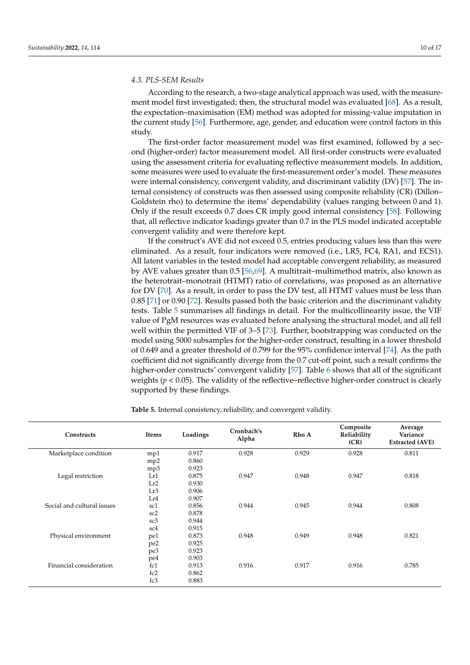## *4.3. PLS-SEM Results*

According to the research, a two-stage analytical approach was used, with the measurement model first investigated; then, the structural model was evaluated [\[68\]](#page-16-18). As a result, the expectation–maximisation (EM) method was adopted for missing-value imputation in the current study [\[56\]](#page-16-19). Furthermore, age, gender, and education were control factors in this study.

The first-order factor measurement model was first examined, followed by a second (higher-order) factor measurement model. All first-order constructs were evaluated using the assessment criteria for evaluating reflective measurement models. In addition, some measures were used to evaluate the first-measurement order's model. These measures were internal consistency, convergent validity, and discriminant validity (DV) [\[57\]](#page-16-20). The internal consistency of constructs was then assessed using composite reliability (CR) (Dillon– Goldstein rho) to determine the items' dependability (values ranging between 0 and 1). Only if the result exceeds 0.7 does CR imply good internal consistency [\[58\]](#page-16-8). Following that, all reflective indicator loadings greater than 0.7 in the PLS model indicated acceptable convergent validity and were therefore kept.

If the construct's AVE did not exceed 0.5, entries producing values less than this were eliminated. As a result, four indicators were removed (i.e., LR5, FC4, RA1, and ECS1). All latent variables in the tested model had acceptable convergent reliability, as measured by AVE values greater than 0.5 [\[56,](#page-16-19)[69\]](#page-16-21). A multitrait–multimethod matrix, also known as the heterotrait–monotrait (HTMT) ratio of correlations, was proposed as an alternative for DV [\[70\]](#page-16-22). As a result, in order to pass the DV test, all HTMT values must be less than 0.85 [\[71\]](#page-16-23) or 0.90 [\[72\]](#page-16-24). Results passed both the basic criterion and the discriminant validity tests. Table [5](#page-9-0) summarises all findings in detail. For the multicollinearity issue, the VIF value of PgM resources was evaluated before analysing the structural model, and all fell well within the permitted VIF of 3–5 [\[73\]](#page-16-25). Further, bootstrapping was conducted on the model using 5000 subsamples for the higher-order construct, resulting in a lower threshold of 0.649 and a greater threshold of 0.799 for the 95% confidence interval [\[74\]](#page-16-26). As the path coefficient did not significantly diverge from the 0.7 cut-off point, such a result confirms the higher-order constructs' convergent validity [\[57\]](#page-16-20). Table [6](#page-11-0) shows that all of the significant weights ( $p < 0.05$ ). The validity of the reflective–reflective higher-order construct is clearly supported by these findings.

| Constructs                 | Items           | Loadings | Cronbach's<br>Alpha | Rho A | Composite<br>Reliability<br>(CR) | Average<br>Variance<br><b>Extracted (AVE)</b> |
|----------------------------|-----------------|----------|---------------------|-------|----------------------------------|-----------------------------------------------|
| Marketplace condition      | mp1             | 0.917    | 0.928               | 0.929 | 0.928                            | 0.811                                         |
|                            | mp <sub>2</sub> | 0.860    |                     |       |                                  |                                               |
|                            | mp3             | 0.923    |                     |       |                                  |                                               |
| Legal restriction          | Lr1             | 0.875    | 0.947               | 0.948 | 0.947                            | 0.818                                         |
|                            | Lr2             | 0.930    |                     |       |                                  |                                               |
|                            | Lr3             | 0.906    |                     |       |                                  |                                               |
|                            | Lr4             | 0.907    |                     |       |                                  |                                               |
| Social and cultural issues | sc1             | 0.856    | 0.944               | 0.945 | 0.944                            | 0.808                                         |
|                            | sc <sub>2</sub> | 0.878    |                     |       |                                  |                                               |
|                            | sc3             | 0.944    |                     |       |                                  |                                               |
|                            | sc <sub>4</sub> | 0.915    |                     |       |                                  |                                               |
| Physical environment       | pe1             | 0.873    | 0.948               | 0.949 | 0.948                            | 0.821                                         |
|                            | pe2             | 0.925    |                     |       |                                  |                                               |
|                            | pe3             | 0.923    |                     |       |                                  |                                               |
|                            | pe4             | 0.903    |                     |       |                                  |                                               |
| Financial consideration    | fc1             | 0.913    | 0.916               | 0.917 | 0.916                            | 0.785                                         |
|                            | fc2             | 0.862    |                     |       |                                  |                                               |
|                            | fc3             | 0.883    |                     |       |                                  |                                               |

<span id="page-9-0"></span>**Table 5.** Internal consistency, reliability, and convergent validity.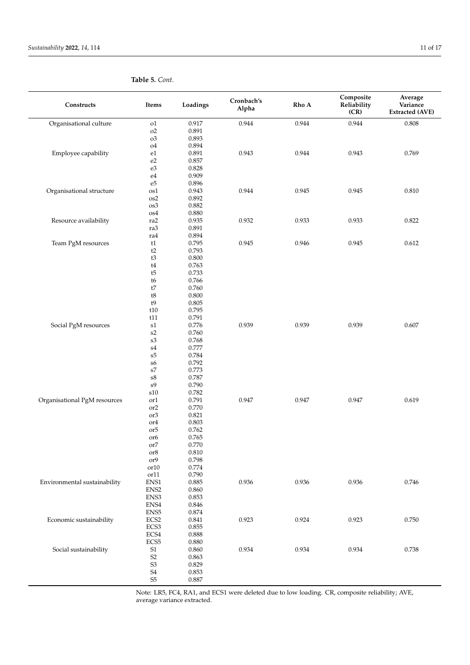| Constructs                   | Items                                                          | Loadings       | Cronbach's<br>Alpha | Rho A | Composite<br>Reliability<br>(CR) | Average<br>Variance<br><b>Extracted (AVE)</b> |
|------------------------------|----------------------------------------------------------------|----------------|---------------------|-------|----------------------------------|-----------------------------------------------|
| Organisational culture       | o1                                                             | 0.917          | 0.944               | 0.944 | 0.944                            | 0.808                                         |
|                              | $\rm o2$                                                       | 0.891          |                     |       |                                  |                                               |
|                              | o3                                                             | 0.893          |                     |       |                                  |                                               |
|                              | ${\rm o}4$                                                     | 0.894          |                     |       |                                  |                                               |
| Employee capability          | e1                                                             | 0.891          | 0.943               | 0.944 | 0.943                            | 0.769                                         |
|                              | $\rm e2$                                                       | 0.857          |                     |       |                                  |                                               |
|                              | ${\rm e}3$                                                     | 0.828          |                     |       |                                  |                                               |
|                              | e4<br>$\mathrm{e}5$                                            | 0.909<br>0.896 |                     |       |                                  |                                               |
| Organisational structure     | os1                                                            | 0.943          | 0.944               | 0.945 | 0.945                            | 0.810                                         |
|                              | $_{\rm os2}$                                                   | 0.892          |                     |       |                                  |                                               |
|                              | os3                                                            | 0.882          |                     |       |                                  |                                               |
|                              | os4                                                            | 0.880          |                     |       |                                  |                                               |
| Resource availability        | $\rm ra2$                                                      | 0.935          | 0.932               | 0.933 | 0.933                            | 0.822                                         |
|                              | ra3                                                            | 0.891          |                     |       |                                  |                                               |
|                              | ra4                                                            | 0.894          |                     |       |                                  |                                               |
| Team PgM resources           | t1                                                             | 0.795          | 0.945               | 0.946 | 0.945                            | 0.612                                         |
|                              | $\mathsf{t2}$                                                  | 0.793          |                     |       |                                  |                                               |
|                              | $\ensuremath{\mathsf{t}}3$                                     | 0.800          |                     |       |                                  |                                               |
|                              | $\ensuremath{\mathsf{t}}4$                                     | 0.763          |                     |       |                                  |                                               |
|                              | t5                                                             | 0.733<br>0.766 |                     |       |                                  |                                               |
|                              | t6<br>t7                                                       | 0.760          |                     |       |                                  |                                               |
|                              | $\ensuremath{\mathsf{t}}8$                                     | 0.800          |                     |       |                                  |                                               |
|                              | $\mathfrak{t}9$                                                | 0.805          |                     |       |                                  |                                               |
|                              | t10                                                            | 0.795          |                     |       |                                  |                                               |
|                              | t11                                                            | 0.791          |                     |       |                                  |                                               |
| Social PgM resources         | $\ensuremath{\mathrm{s}}\xspace\ensuremath{\mathrm{1}}\xspace$ | 0.776          | 0.939               | 0.939 | 0.939                            | 0.607                                         |
|                              | $\ensuremath{\mathrm{s2}}$                                     | 0.760          |                     |       |                                  |                                               |
|                              | s3                                                             | 0.768          |                     |       |                                  |                                               |
|                              | $\ensuremath{\mathrm{s}}\xspace4$                              | 0.777          |                     |       |                                  |                                               |
|                              | ${\rm s}5$                                                     | $0.784\,$      |                     |       |                                  |                                               |
|                              | s6                                                             | 0.792          |                     |       |                                  |                                               |
|                              | $\ensuremath{\mathrm{s}}\xspace\ensuremath{\mathbf{7}}\xspace$ | 0.773          |                     |       |                                  |                                               |
|                              | ${\rm s}8$<br>$\mathrm{s}9$                                    | 0.787<br>0.790 |                     |       |                                  |                                               |
|                              | $\boldsymbol{\mathrm{s}} 10$                                   | 0.782          |                     |       |                                  |                                               |
| Organisational PgM resources | or1                                                            | 0.791          | 0.947               | 0.947 | 0.947                            | 0.619                                         |
|                              | or <sub>2</sub>                                                | 0.770          |                     |       |                                  |                                               |
|                              | or <sub>3</sub>                                                | 0.821          |                     |       |                                  |                                               |
|                              | or4                                                            | 0.803          |                     |       |                                  |                                               |
|                              | or <sub>5</sub>                                                | 0.762          |                     |       |                                  |                                               |
|                              | or <sub>6</sub>                                                | 0.765          |                     |       |                                  |                                               |
|                              | or <sub>7</sub>                                                | 0.770          |                     |       |                                  |                                               |
|                              | or8                                                            | 0.810          |                     |       |                                  |                                               |
|                              | or9<br>or10                                                    | 0.798<br>0.774 |                     |       |                                  |                                               |
|                              | or11                                                           | 0.790          |                     |       |                                  |                                               |
| Environmental sustainability | ${\rm ENS1}$                                                   | 0.885          | 0.936               | 0.936 | 0.936                            | 0.746                                         |
|                              | ENS <sub>2</sub>                                               | 0.860          |                     |       |                                  |                                               |
|                              | ${\rm ENS3}$                                                   | 0.853          |                     |       |                                  |                                               |
|                              | ${\rm ENS4}$                                                   | 0.846          |                     |       |                                  |                                               |
|                              | ${\rm ENS5}$                                                   | $0.874\,$      |                     |       |                                  |                                               |
| Economic sustainability      | ECS2                                                           | 0.841          | 0.923               | 0.924 | 0.923                            | 0.750                                         |
|                              | ECS3                                                           | 0.855          |                     |       |                                  |                                               |
|                              | $\operatorname{ECS4}$                                          | $0.888\,$      |                     |       |                                  |                                               |
|                              | ECS5                                                           | 0.880          |                     |       |                                  |                                               |
| Social sustainability        | $\ensuremath{\mathrm{S}}1$<br>$\mathsf{S2}\,$                  | 0.860          | 0.934               | 0.934 | 0.934                            | 0.738                                         |
|                              | ${\sf S3}$                                                     | 0.863<br>0.829 |                     |       |                                  |                                               |
|                              | $\ensuremath{\mathrm{S4}}$                                     | 0.853          |                     |       |                                  |                                               |
|                              | ${\rm S}5$                                                     | 0.887          |                     |       |                                  |                                               |
|                              |                                                                |                |                     |       |                                  |                                               |

**Table 5.** *Cont.*

Note: LR5, FC4, RA1, and ECS1 were deleted due to low loading. CR, composite reliability; AVE, average variance extracted.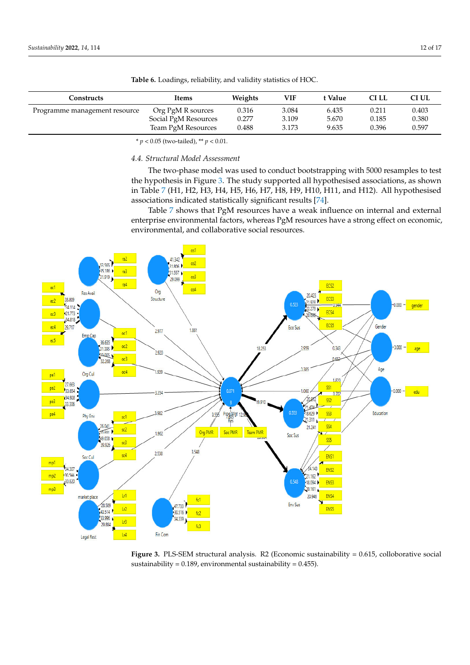| Constructs                                         | Items                | VIF<br>Weights |       | : Value | CI LL | CI UL |  |
|----------------------------------------------------|----------------------|----------------|-------|---------|-------|-------|--|
| Org PgM R sources<br>Programme management resource |                      | 0.316          | 3.084 | 6.435   | 0.211 | 0.403 |  |
|                                                    | Social PgM Resources | 0.277          | 3.109 | 5.670   | 0.185 | 0.380 |  |
|                                                    | Team PgM Resources   | 0.488          | 3.173 | 9.635   | 0.396 | 0.597 |  |

<span id="page-11-0"></span>**Table 6.** Loadings, reliability, and validity statistics of HOC.

\* *p* < 0.05 (two-tailed), \*\* *p* < 0.01.

## *4.4. Structural Model Assessment*

The two-phase model was used to conduct bootstrapping with 5000 resamples to test the hypothesis in Figure [3.](#page-11-1) The study supported all hypothesised associations, as shown in Table [7](#page-12-1) (H1, H2, H3, H4, H5, H6, H7, H8, H9, H10, H11, and H12). All hypothesised associations indicated statistically significant results [\[74\]](#page-16-26).

> <span id="page-11-1"></span>Table [7](#page-12-1) shows that PgM resources have a weak influence on internal and external enterprise environmental factors, whereas PgM resources have a strong effect on economic, environmental, and collaborative social resources.



**Figure 3.** PLS‐ SEM structural analysis. R2 (Economic sustainability = 0.615, colloborative social **Figure 3.** PLS-SEM structural analysis. R2 (Economic sustainability = 0.615, colloborative social  $s$ ustainability = 0.189, environmental sustainability = 0.455).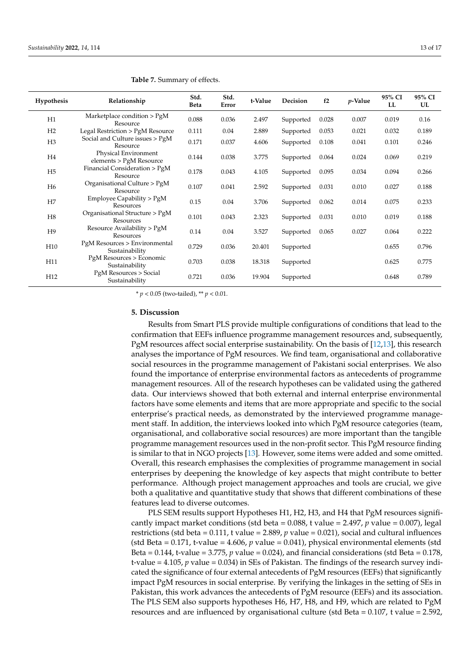| Hypothesis      | Relationship                                    | Std.<br>Beta | Std.<br>Error | t-Value | Decision  | f2    | $p$ -Value | 95% CI<br>LL | 95% CI<br>UL |
|-----------------|-------------------------------------------------|--------------|---------------|---------|-----------|-------|------------|--------------|--------------|
| H1              | Marketplace condition > PgM<br>Resource         | 0.088        | 0.036         | 2.497   | Supported | 0.028 | 0.007      | 0.019        | 0.16         |
| H2              | Legal Restriction > PgM Resource                | 0.111        | 0.04          | 2.889   | Supported | 0.053 | 0.021      | 0.032        | 0.189        |
| H <sub>3</sub>  | Social and Culture issues > PgM<br>Resource     | 0.171        | 0.037         | 4.606   | Supported | 0.108 | 0.041      | 0.101        | 0.246        |
| H4              | Physical Environment<br>elements > PgM Resource | 0.144        | 0.038         | 3.775   | Supported | 0.064 | 0.024      | 0.069        | 0.219        |
| H <sub>5</sub>  | Financial Consideration > PgM<br>Resource       | 0.178        | 0.043         | 4.105   | Supported | 0.095 | 0.034      | 0.094        | 0.266        |
| H <sub>6</sub>  | Organisational Culture > PgM<br>Resource        | 0.107        | 0.041         | 2.592   | Supported | 0.031 | 0.010      | 0.027        | 0.188        |
| H7              | Employee Capability $>$ PgM<br>Resources        | 0.15         | 0.04          | 3.706   | Supported | 0.062 | 0.014      | 0.075        | 0.233        |
| H <sub>8</sub>  | Organisational Structure > PgM<br>Resources     | 0.101        | 0.043         | 2.323   | Supported | 0.031 | 0.010      | 0.019        | 0.188        |
| H9              | Resource Availability > PgM<br>Resources        | 0.14         | 0.04          | 3.527   | Supported | 0.065 | 0.027      | 0.064        | 0.222        |
| H <sub>10</sub> | PgM Resources > Environmental<br>Sustainability | 0.729        | 0.036         | 20.401  | Supported |       |            | 0.655        | 0.796        |
| H11             | PgM Resources > Economic<br>Sustainability      | 0.703        | 0.038         | 18.318  | Supported |       |            | 0.625        | 0.775        |
| H <sub>12</sub> | PgM Resources > Social<br>Sustainability        | 0.721        | 0.036         | 19.904  | Supported |       |            | 0.648        | 0.789        |

<span id="page-12-1"></span>**Table 7.** Summary of effects.

\* *p* < 0.05 (two-tailed), \*\* *p* < 0.01.

### <span id="page-12-0"></span>**5. Discussion**

Results from Smart PLS provide multiple configurations of conditions that lead to the confirmation that EEFs influence programme management resources and, subsequently, PgM resources affect social enterprise sustainability. On the basis of [\[12,](#page-14-10)[13\]](#page-14-11), this research analyses the importance of PgM resources. We find team, organisational and collaborative social resources in the programme management of Pakistani social enterprises. We also found the importance of enterprise environmental factors as antecedents of programme management resources. All of the research hypotheses can be validated using the gathered data. Our interviews showed that both external and internal enterprise environmental factors have some elements and items that are more appropriate and specific to the social enterprise's practical needs, as demonstrated by the interviewed programme management staff. In addition, the interviews looked into which PgM resource categories (team, organisational, and collaborative social resources) are more important than the tangible programme management resources used in the non-profit sector. This PgM resource finding is similar to that in NGO projects [\[13\]](#page-14-11). However, some items were added and some omitted. Overall, this research emphasises the complexities of programme management in social enterprises by deepening the knowledge of key aspects that might contribute to better performance. Although project management approaches and tools are crucial, we give both a qualitative and quantitative study that shows that different combinations of these features lead to diverse outcomes.

PLS SEM results support Hypotheses H1, H2, H3, and H4 that PgM resources significantly impact market conditions (std beta = 0.088, t value = 2.497, *p* value = 0.007), legal restrictions (std beta = 0.111, t value = 2.889, *p* value = 0.021), social and cultural influences (std Beta = 0.171, t-value = 4.606, *p* value = 0.041), physical environmental elements (std Beta =  $0.144$ , t-value =  $3.775$ , *p* value =  $0.024$ ), and financial considerations (std Beta =  $0.178$ , t-value = 4.105, *p* value = 0.034) in SEs of Pakistan. The findings of the research survey indicated the significance of four external antecedents of PgM resources (EEFs) that significantly impact PgM resources in social enterprise. By verifying the linkages in the setting of SEs in Pakistan, this work advances the antecedents of PgM resource (EEFs) and its association. The PLS SEM also supports hypotheses H6, H7, H8, and H9, which are related to PgM resources and are influenced by organisational culture (std Beta = 0.107, t value = 2.592,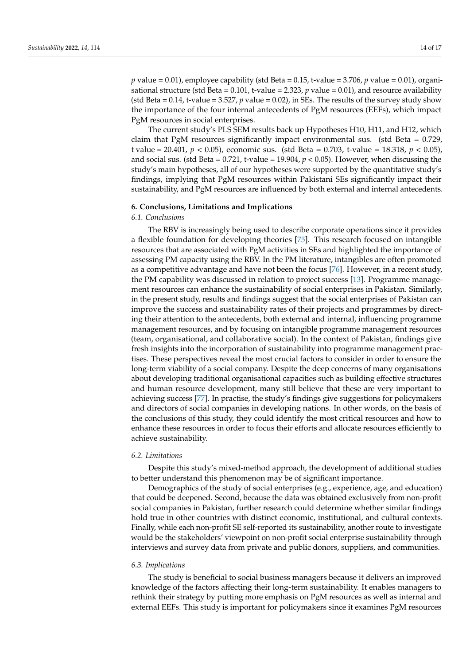*p* value = 0.01), employee capability (std Beta = 0.15, t-value = 3.706, *p* value = 0.01), organisational structure (std Beta =  $0.101$ , t-value =  $2.323$ , p value =  $0.01$ ), and resource availability (std Beta  $= 0.14$ , t-value  $= 3.527$ , *p* value  $= 0.02$ ), in SEs. The results of the survey study show the importance of the four internal antecedents of PgM resources (EEFs), which impact PgM resources in social enterprises.

The current study's PLS SEM results back up Hypotheses H10, H11, and H12, which claim that PgM resources significantly impact environmental sus. (std Beta = 0.729, t value = 20.401, *p* < 0.05), economic sus. (std Beta = 0.703, t-value = 18.318, *p* < 0.05), and social sus. (std Beta =  $0.721$ , t-value =  $19.904$ ,  $p < 0.05$ ). However, when discussing the study's main hypotheses, all of our hypotheses were supported by the quantitative study's findings, implying that PgM resources within Pakistani SEs significantly impact their sustainability, and PgM resources are influenced by both external and internal antecedents.

#### **6. Conclusions, Limitations and Implications**

## *6.1. Conclusions*

The RBV is increasingly being used to describe corporate operations since it provides a flexible foundation for developing theories [\[75\]](#page-16-27). This research focused on intangible resources that are associated with PgM activities in SEs and highlighted the importance of assessing PM capacity using the RBV. In the PM literature, intangibles are often promoted as a competitive advantage and have not been the focus [\[76\]](#page-16-28). However, in a recent study, the PM capability was discussed in relation to project success [\[13\]](#page-14-11). Programme management resources can enhance the sustainability of social enterprises in Pakistan. Similarly, in the present study, results and findings suggest that the social enterprises of Pakistan can improve the success and sustainability rates of their projects and programmes by directing their attention to the antecedents, both external and internal, influencing programme management resources, and by focusing on intangible programme management resources (team, organisational, and collaborative social). In the context of Pakistan, findings give fresh insights into the incorporation of sustainability into programme management practises. These perspectives reveal the most crucial factors to consider in order to ensure the long-term viability of a social company. Despite the deep concerns of many organisations about developing traditional organisational capacities such as building effective structures and human resource development, many still believe that these are very important to achieving success [\[77\]](#page-16-29). In practise, the study's findings give suggestions for policymakers and directors of social companies in developing nations. In other words, on the basis of the conclusions of this study, they could identify the most critical resources and how to enhance these resources in order to focus their efforts and allocate resources efficiently to achieve sustainability.

## *6.2. Limitations*

Despite this study's mixed-method approach, the development of additional studies to better understand this phenomenon may be of significant importance.

Demographics of the study of social enterprises (e.g., experience, age, and education) that could be deepened. Second, because the data was obtained exclusively from non-profit social companies in Pakistan, further research could determine whether similar findings hold true in other countries with distinct economic, institutional, and cultural contexts. Finally, while each non-profit SE self-reported its sustainability, another route to investigate would be the stakeholders' viewpoint on non-profit social enterprise sustainability through interviews and survey data from private and public donors, suppliers, and communities.

## *6.3. Implications*

The study is beneficial to social business managers because it delivers an improved knowledge of the factors affecting their long-term sustainability. It enables managers to rethink their strategy by putting more emphasis on PgM resources as well as internal and external EEFs. This study is important for policymakers since it examines PgM resources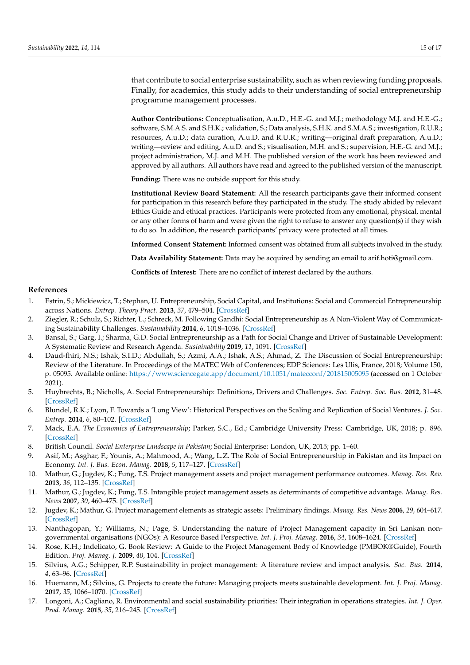that contribute to social enterprise sustainability, such as when reviewing funding proposals. Finally, for academics, this study adds to their understanding of social entrepreneurship programme management processes.

**Author Contributions:** Conceptualisation, A.u.D., H.E.-G. and M.J.; methodology M.J. and H.E.-G.; software, S.M.A.S. and S.H.K.; validation, S.; Data analysis, S.H.K. and S.M.A.S.; investigation, R.U.R.; resources, A.u.D.; data curation, A.u.D. and R.U.R.; writing—original draft preparation, A.u.D.; writing—review and editing, A.u.D. and S.; visualisation, M.H. and S.; supervision, H.E.-G. and M.J.; project administration, M.J. and M.H. The published version of the work has been reviewed and approved by all authors. All authors have read and agreed to the published version of the manuscript.

**Funding:** There was no outside support for this study.

**Institutional Review Board Statement:** All the research participants gave their informed consent for participation in this research before they participated in the study. The study abided by relevant Ethics Guide and ethical practices. Participants were protected from any emotional, physical, mental or any other forms of harm and were given the right to refuse to answer any question(s) if they wish to do so. In addition, the research participants' privacy were protected at all times.

**Informed Consent Statement:** Informed consent was obtained from all subjects involved in the study.

**Data Availability Statement:** Data may be acquired by sending an email to arif.hoti@gmail.com.

**Conflicts of Interest:** There are no conflict of interest declared by the authors.

#### **References**

- <span id="page-14-0"></span>1. Estrin, S.; Mickiewicz, T.; Stephan, U. Entrepreneurship, Social Capital, and Institutions: Social and Commercial Entrepreneurship across Nations. *Entrep. Theory Pract.* **2013**, *37*, 479–504. [\[CrossRef\]](http://doi.org/10.1111/etap.12019)
- <span id="page-14-1"></span>2. Ziegler, R.; Schulz, S.; Richter, L.; Schreck, M. Following Gandhi: Social Entrepreneurship as A Non-Violent Way of Communicating Sustainability Challenges. *Sustainability* **2014**, *6*, 1018–1036. [\[CrossRef\]](http://doi.org/10.3390/su6021018)
- <span id="page-14-2"></span>3. Bansal, S.; Garg, I.; Sharma, G.D. Social Entrepreneurship as a Path for Social Change and Driver of Sustainable Development: A Systematic Review and Research Agenda. *Sustainability* **2019**, *11*, 1091. [\[CrossRef\]](http://doi.org/10.3390/su11041091)
- <span id="page-14-3"></span>4. Daud-fhiri, N.S.; Ishak, S.I.D.; Abdullah, S.; Azmi, A.A.; Ishak, A.S.; Ahmad, Z. The Discussion of Social Entrepreneurship: Review of the Literature. In Proceedings of the MATEC Web of Conferences; EDP Sciences: Les Ulis, France, 2018; Volume 150, p. 05095. Available online: <https://www.sciencegate.app/document/10.1051/matecconf/201815005095> (accessed on 1 October 2021).
- <span id="page-14-4"></span>5. Huybrechts, B.; Nicholls, A. Social Entrepreneurship: Definitions, Drivers and Challenges. *Soc. Entrep. Soc. Bus.* **2012**, 31–48. [\[CrossRef\]](http://doi.org/10.1007/978-3-8349-7093-0_2)
- <span id="page-14-5"></span>6. Blundel, R.K.; Lyon, F. Towards a 'Long View': Historical Perspectives on the Scaling and Replication of Social Ventures. *J. Soc. Entrep.* **2014**, *6*, 80–102. [\[CrossRef\]](http://doi.org/10.1080/19420676.2014.954258)
- <span id="page-14-6"></span>7. Mack, E.A. *The Economics of Entrepreneurship*; Parker, S.C., Ed.; Cambridge University Press: Cambridge, UK, 2018; p. 896. [\[CrossRef\]](http://doi.org/10.1111/rsp3.12175)
- <span id="page-14-7"></span>8. British Council. *Social Enterprise Landscape in Pakistan*; Social Enterprise: London, UK, 2015; pp. 1–60.
- <span id="page-14-8"></span>9. Asif, M.; Asghar, F.; Younis, A.; Mahmood, A.; Wang, L.Z. The Role of Social Entrepreneurship in Pakistan and its Impact on Economy. *Int. J. Bus. Econ. Manag.* **2018**, *5*, 117–127. [\[CrossRef\]](http://doi.org/10.18488/journal.62.2018.55.117.127)
- <span id="page-14-9"></span>10. Mathur, G.; Jugdev, K.; Fung, T.S. Project management assets and project management performance outcomes. *Manag. Res. Rev.* **2013**, *36*, 112–135. [\[CrossRef\]](http://doi.org/10.1108/01409171311292234)
- 11. Mathur, G.; Jugdev, K.; Fung, T.S. Intangible project management assets as determinants of competitive advantage. *Manag. Res. News* **2007**, *30*, 460–475. [\[CrossRef\]](http://doi.org/10.1108/01409170710759694)
- <span id="page-14-10"></span>12. Jugdev, K.; Mathur, G. Project management elements as strategic assets: Preliminary findings. *Manag. Res. News* **2006**, *29*, 604–617. [\[CrossRef\]](http://doi.org/10.1108/01409170610712317)
- <span id="page-14-11"></span>13. Nanthagopan, Y.; Williams, N.; Page, S. Understanding the nature of Project Management capacity in Sri Lankan nongovernmental organisations (NGOs): A Resource Based Perspective. *Int. J. Proj. Manag.* **2016**, *34*, 1608–1624. [\[CrossRef\]](http://doi.org/10.1016/j.ijproman.2016.09.003)
- <span id="page-14-12"></span>14. Rose, K.H.; Indelicato, G. Book Review: A Guide to the Project Management Body of Knowledge (PMBOK®Guide), Fourth Edition. *Proj. Manag. J.* **2009**, *40*, 104. [\[CrossRef\]](http://doi.org/10.1002/pmj.20125)
- <span id="page-14-13"></span>15. Silvius, A.G.; Schipper, R.P. Sustainability in project management: A literature review and impact analysis. *Soc. Bus.* **2014**, *4*, 63–96. [\[CrossRef\]](http://doi.org/10.1362/204440814X13948909253866)
- <span id="page-14-14"></span>16. Huemann, M.; Silvius, G. Projects to create the future: Managing projects meets sustainable development. *Int. J. Proj. Manag.* **2017**, *35*, 1066–1070. [\[CrossRef\]](http://doi.org/10.1016/j.ijproman.2017.04.014)
- <span id="page-14-15"></span>17. Longoni, A.; Cagliano, R. Environmental and social sustainability priorities: Their integration in operations strategies. *Int. J. Oper. Prod. Manag.* **2015**, *35*, 216–245. [\[CrossRef\]](http://doi.org/10.1108/IJOPM-04-2013-0182)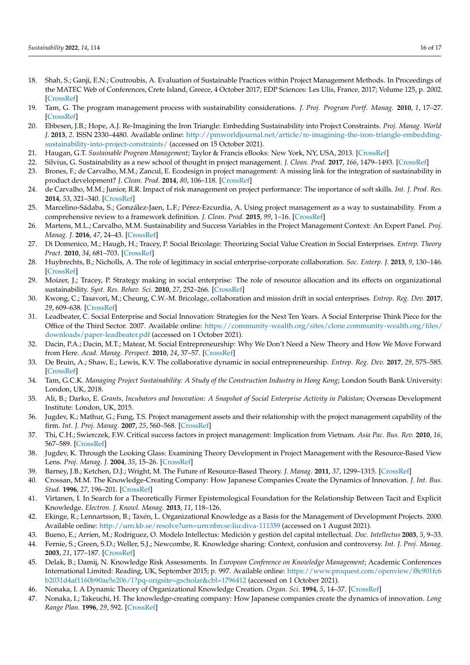- <span id="page-15-0"></span>18. Shah, S.; Ganji, E.N.; Coutroubis, A. Evaluation of Sustainable Practices within Project Management Methods. In Proceedings of the MATEC Web of Conferences, Crete Island, Greece, 4 October 2017; EDP Sciences: Les Ulis, France, 2017; Volume 125, p. 2002. [\[CrossRef\]](http://doi.org/10.1051/matecconf/201712502002)
- <span id="page-15-1"></span>19. Tam, G. The program management process with sustainability considerations. *J. Proj. Program Portf. Manag.* **2010**, *1*, 17–27. [\[CrossRef\]](http://doi.org/10.5130/pppm.v1i1.1574)
- <span id="page-15-2"></span>20. Ebbesen, J.B.; Hope, A.J. Re-Imagining the Iron Triangle: Embedding Sustainability into Project Constraints. *Proj. Manag. World J.* **2013**, *2*. ISSN 2330–4480. Available online: [http://pmworldjournal.net/article/re-imagining-the-iron-triangle-embedding](http://pmworldjournal.net/article/re-imagining-the-iron-triangle-embedding-sustainability-into-project-constraints/)[sustainability-into-project-constraints/](http://pmworldjournal.net/article/re-imagining-the-iron-triangle-embedding-sustainability-into-project-constraints/) (accessed on 15 October 2021).
- <span id="page-15-3"></span>21. Haugan, G.T. *Sustainable Program Management*; Taylor & Francis eBooks: New York, NY, USA, 2013. [\[CrossRef\]](http://doi.org/10.1201/b15732)
- <span id="page-15-4"></span>22. Silvius, G. Sustainability as a new school of thought in project management. *J. Clean. Prod.* **2017**, *166*, 1479–1493. [\[CrossRef\]](http://doi.org/10.1016/j.jclepro.2017.08.121)
- <span id="page-15-5"></span>23. Brones, F.; de Carvalho, M.M.; Zancul, E. Ecodesign in project management: A missing link for the integration of sustainability in product development? *J. Clean. Prod.* **2014**, *80*, 106–118. [\[CrossRef\]](http://doi.org/10.1016/j.jclepro.2014.05.088)
- 24. de Carvalho, M.M.; Junior, R.R. Impact of risk management on project performance: The importance of soft skills. *Int. J. Prod. Res.* **2014**, *53*, 321–340. [\[CrossRef\]](http://doi.org/10.1080/00207543.2014.919423)
- <span id="page-15-6"></span>25. Marcelino-Sádaba, S.; González-Jaen, L.F.; Pérez-Ezcurdia, A. Using project management as a way to sustainability. From a comprehensive review to a framework definition. *J. Clean. Prod.* **2015**, *99*, 1–16. [\[CrossRef\]](http://doi.org/10.1016/j.jclepro.2015.03.020)
- <span id="page-15-7"></span>26. Martens, M.L.; Carvalho, M.M. Sustainability and Success Variables in the Project Management Context: An Expert Panel. *Proj. Manag. J.* **2016**, *47*, 24–43. [\[CrossRef\]](http://doi.org/10.1177/875697281604700603)
- <span id="page-15-8"></span>27. Di Domenico, M.; Haugh, H.; Tracey, P. Social Bricolage: Theorizing Social Value Creation in Social Enterprises. *Entrep. Theory Pract.* **2010**, *34*, 681–703. [\[CrossRef\]](http://doi.org/10.1111/j.1540-6520.2010.00370.x)
- <span id="page-15-13"></span>28. Huybrechts, B.; Nicholls, A. The role of legitimacy in social enterprise-corporate collaboration. *Soc. Enterp. J.* **2013**, *9*, 130–146. [\[CrossRef\]](http://doi.org/10.1108/SEJ-01-2013-0002)
- <span id="page-15-14"></span>29. Moizer, J.; Tracey, P. Strategy making in social enterprise: The role of resource allocation and its effects on organizational sustainability. *Syst. Res. Behav. Sci.* **2010**, *27*, 252–266. [\[CrossRef\]](http://doi.org/10.1002/sres.1006)
- <span id="page-15-15"></span>30. Kwong, C.; Tasavori, M.; Cheung, C.W.-M. Bricolage, collaboration and mission drift in social enterprises. *Entrep. Reg. Dev.* **2017**, *29*, 609–638. [\[CrossRef\]](http://doi.org/10.1080/08985626.2017.1328904)
- <span id="page-15-9"></span>31. Leadbeater, C. Social Enterprise and Social Innovation: Strategies for the Next Ten Years. A Social Enterprise Think Piece for the Office of the Third Sector. 2007. Available online: [https://community-wealth.org/sites/clone.community-wealth.org/files/](https://community-wealth.org/sites/clone.community-wealth.org/files/downloads/paper-leadbeater.pdf) [downloads/paper-leadbeater.pdf](https://community-wealth.org/sites/clone.community-wealth.org/files/downloads/paper-leadbeater.pdf) (accessed on 1 October 2021).
- <span id="page-15-10"></span>32. Dacin, P.A.; Dacin, M.T.; Matear, M. Social Entrepreneurship: Why We Don't Need a New Theory and How We Move Forward from Here. *Acad. Manag. Perspect.* **2010**, *24*, 37–57. [\[CrossRef\]](http://doi.org/10.5465/amp.2010.52842950)
- <span id="page-15-16"></span>33. De Bruin, A.; Shaw, E.; Lewis, K.V. The collaborative dynamic in social entrepreneurship. *Entrep. Reg. Dev.* **2017**, *29*, 575–585. [\[CrossRef\]](http://doi.org/10.1080/08985626.2017.1328902)
- <span id="page-15-11"></span>34. Tam, G.C.K. *Managing Project Sustainability: A Study of the Construction Industry in Hong Kong*; London South Bank University: London, UK, 2018.
- <span id="page-15-12"></span>35. Ali, B.; Darko, E. *Grants, Incubators and Innovation: A Snapshot of Social Enterprise Activity in Pakistan*; Overseas Development Institute: London, UK, 2015.
- <span id="page-15-28"></span>36. Jugdev, K.; Mathur, G.; Fung, T.S. Project management assets and their relationship with the project management capability of the firm. *Int. J. Proj. Manag.* **2007**, *25*, 560–568. [\[CrossRef\]](http://doi.org/10.1016/j.ijproman.2007.01.009)
- <span id="page-15-17"></span>37. Thi, C.H.; Swierczek, F.W. Critical success factors in project management: Implication from Vietnam. *Asia Pac. Bus. Rev.* **2010**, *16*, 567–589. [\[CrossRef\]](http://doi.org/10.1080/13602380903322957)
- <span id="page-15-18"></span>38. Jugdev, K. Through the Looking Glass: Examining Theory Development in Project Management with the Resource-Based View Lens. *Proj. Manag. J.* **2004**, *35*, 15–26. [\[CrossRef\]](http://doi.org/10.1177/875697280403500304)
- <span id="page-15-19"></span>39. Barney, J.B.; Ketchen, D.J.; Wright, M. The Future of Resource-Based Theory. *J. Manag.* **2011**, *37*, 1299–1315. [\[CrossRef\]](http://doi.org/10.1177/0149206310391805)
- <span id="page-15-20"></span>40. Crossan, M.M. The Knowledge-Creating Company: How Japanese Companies Create the Dynamics of Innovation. *J. Int. Bus. Stud.* **1996**, *27*, 196–201. [\[CrossRef\]](http://doi.org/10.1057/jibs.1996.13)
- <span id="page-15-21"></span>41. Virtanen, I. In Search for a Theoretically Firmer Epistemological Foundation for the Relationship Between Tacit and Explicit Knowledge. *Electron. J. Knowl. Manag.* **2013**, *11*, 118–126.
- <span id="page-15-22"></span>42. Ekinge, R.; Lennartsson, B.; Taxén, L. Organizational Knowledge as a Basis for the Management of Development Projects. 2000. Available online: <http://urn.kb.se/resolve?urn=urn:nbn:se:liu:diva-111359> (accessed on 1 August 2021).
- <span id="page-15-23"></span>43. Bueno, E.; Arrien, M.; Rodríguez, O. Modelo Intellectus: Medición y gestión del capital intellectual. *Doc. Intellectus* **2003**, *5*, 9–33.
- <span id="page-15-24"></span>44. Fernie, S.; Green, S.D.; Weller, S.J.; Newcombe, R. Knowledge sharing: Context, confusion and controversy. *Int. J. Proj. Manag.* **2003**, *21*, 177–187. [\[CrossRef\]](http://doi.org/10.1016/S0263-7863(02)00092-3)
- <span id="page-15-25"></span>45. Delak, B.; Damij, N. Knowledge Risk Assessments. In *European Conference on Knowledge Management*; Academic Conferences International Limited: Reading, UK, September 2015; p. 997. Available online: [https://www.proquest.com/openview/f8c901fc6](https://www.proquest.com/openview/f8c901fc6b2031d4af1160b90ae5e206/1?pq-origsite=gscholar&cbl=1796412) [b2031d4af1160b90ae5e206/1?pq-origsite=gscholar&cbl=1796412](https://www.proquest.com/openview/f8c901fc6b2031d4af1160b90ae5e206/1?pq-origsite=gscholar&cbl=1796412) (accessed on 1 October 2021).
- <span id="page-15-26"></span>46. Nonaka, I. A Dynamic Theory of Organizational Knowledge Creation. *Organ. Sci.* **1994**, *5*, 14–37. [\[CrossRef\]](http://doi.org/10.1287/orsc.5.1.14)
- <span id="page-15-27"></span>47. Nonaka, I.; Takeuchi, H. The knowledge-creating company: How Japanese companies create the dynamics of innovation. *Long Range Plan.* **1996**, *29*, 592. [\[CrossRef\]](http://doi.org/10.1016/0024-6301(96)81509-3)